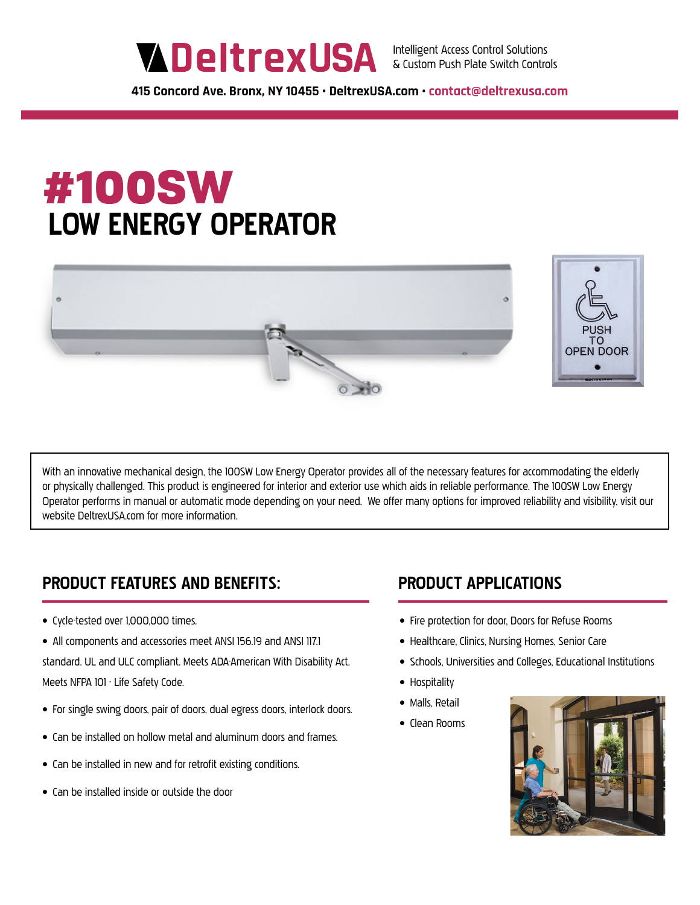**415 Concord Ave. Bronx, NY 10455 • DeltrexUSA.com • contact@deltrexusa.com**

# #100SW  **LOW ENERGY OPERATOR**



With an innovative mechanical design, the 100SW Low Energy Operator provides all of the necessary features for accommodating the elderly or physically challenged. This product is engineered for interior and exterior use which aids in reliable performance. The 100SW Low Energy Operator performs in manual or automatic mode depending on your need. We offer many options for improved reliability and visibility, visit our website DeltrexUSA.com for more information.

## **PRODUCT FEATURES AND BENEFITS: PRODUCT APPLICATIONS**

- Cycle-tested over 1,000,000 times.
- All components and accessories meet ANSI 156.19 and ANSI 117.1 standard. UL and ULC compliant. Meets ADA-American With Disability Act. Meets NFPA 101 - Life Safety Code.
- For single swing doors, pair of doors, dual egress doors, interlock doors.
- Can be installed on hollow metal and aluminum doors and frames.
- Can be installed in new and for retrofit existing conditions.
- Can be installed inside or outside the door

- Fire protection for door, Doors for Refuse Rooms
- Healthcare, Clinics, Nursing Homes, Senior Care
- Schools, Universities and Colleges, Educational Institutions
- Hospitality
- Malls, Retail
- Clean Rooms